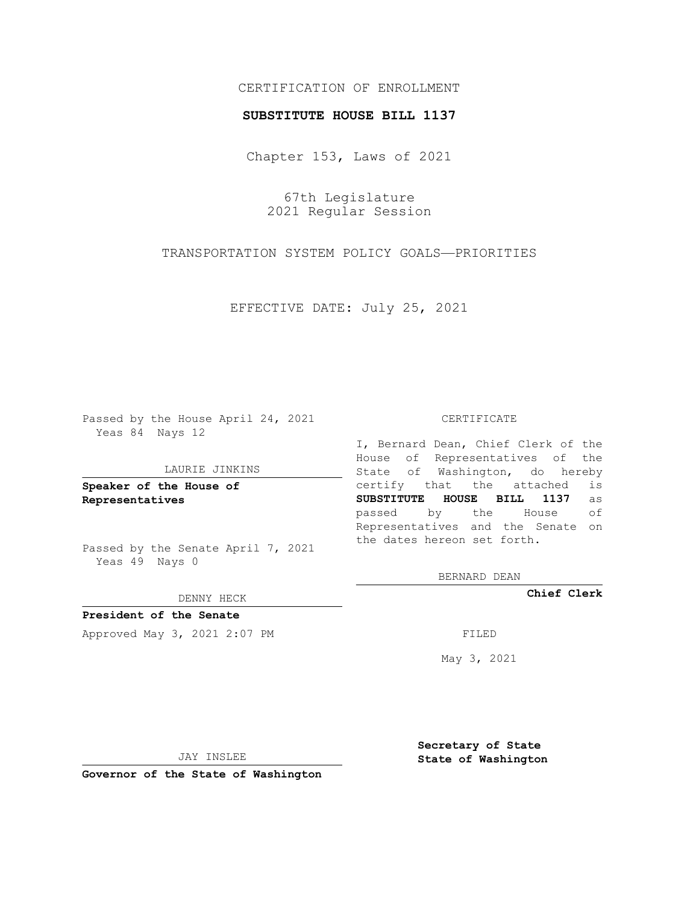## CERTIFICATION OF ENROLLMENT

### **SUBSTITUTE HOUSE BILL 1137**

Chapter 153, Laws of 2021

67th Legislature 2021 Regular Session

TRANSPORTATION SYSTEM POLICY GOALS—PRIORITIES

EFFECTIVE DATE: July 25, 2021

Passed by the House April 24, 2021 Yeas 84 Nays 12

#### LAURIE JINKINS

**Speaker of the House of Representatives**

Passed by the Senate April 7, 2021 Yeas 49 Nays 0

DENNY HECK

**President of the Senate** Approved May 3, 2021 2:07 PM FILED

CERTIFICATE

I, Bernard Dean, Chief Clerk of the House of Representatives of the State of Washington, do hereby certify that the attached is **SUBSTITUTE HOUSE BILL 1137** as passed by the House of Representatives and the Senate on the dates hereon set forth.

BERNARD DEAN

**Chief Clerk**

May 3, 2021

JAY INSLEE

**Governor of the State of Washington**

**Secretary of State State of Washington**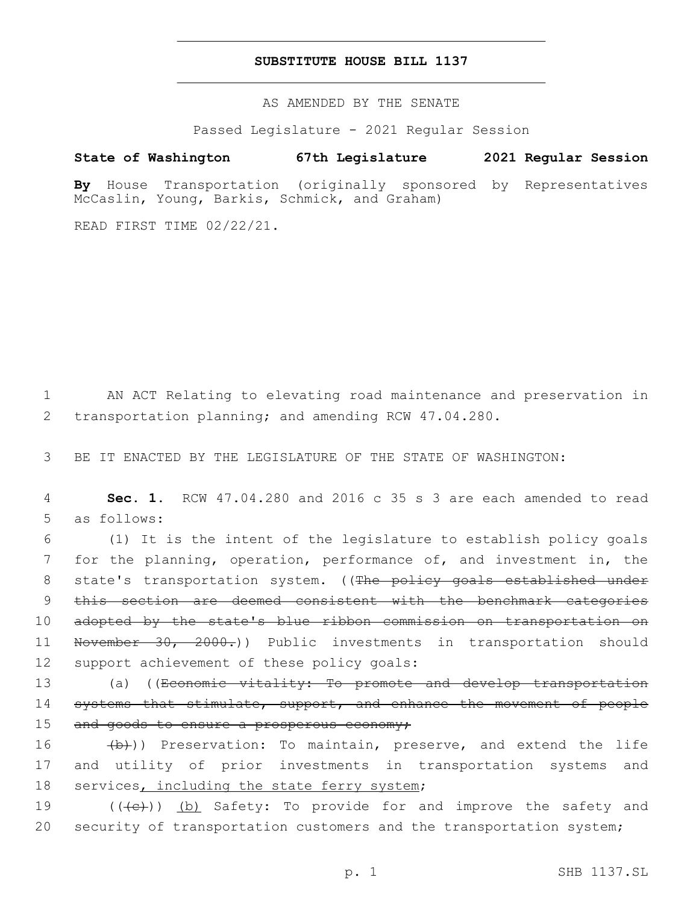## **SUBSTITUTE HOUSE BILL 1137**

AS AMENDED BY THE SENATE

Passed Legislature - 2021 Regular Session

# **State of Washington 67th Legislature 2021 Regular Session**

**By** House Transportation (originally sponsored by Representatives McCaslin, Young, Barkis, Schmick, and Graham)

READ FIRST TIME 02/22/21.

1 AN ACT Relating to elevating road maintenance and preservation in 2 transportation planning; and amending RCW 47.04.280.

3 BE IT ENACTED BY THE LEGISLATURE OF THE STATE OF WASHINGTON:

4 **Sec. 1.** RCW 47.04.280 and 2016 c 35 s 3 are each amended to read 5 as follows:

6 (1) It is the intent of the legislature to establish policy goals 7 for the planning, operation, performance of, and investment in, the 8 state's transportation system. ((The policy goals established under 9 this section are deemed consistent with the benchmark categories 10 adopted by the state's blue ribbon commission on transportation on 11 November 30, 2000.)) Public investments in transportation should 12 support achievement of these policy goals:

13 (a) ((Economic vitality: To promote and develop transportation 14 systems that stimulate, support, and enhance the movement of people 15 and goods to ensure a prosperous economy;

16 (b)) Preservation: To maintain, preserve, and extend the life 17 and utility of prior investments in transportation systems and 18 services, including the state ferry system;

19 (((e)) (b) Safety: To provide for and improve the safety and 20 security of transportation customers and the transportation system;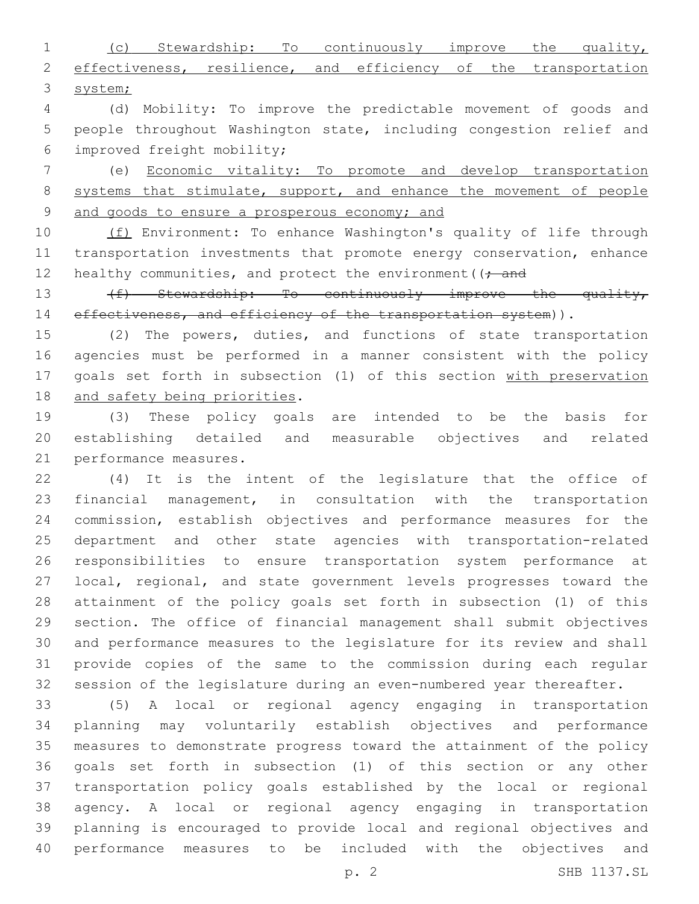(c) Stewardship: To continuously improve the quality, 2 effectiveness, resilience, and efficiency of the transportation system;

 (d) Mobility: To improve the predictable movement of goods and people throughout Washington state, including congestion relief and improved freight mobility;6

 (e) Economic vitality: To promote and develop transportation 8 systems that stimulate, support, and enhance the movement of people and goods to ensure a prosperous economy; and

10 (f) Environment: To enhance Washington's quality of life through transportation investments that promote energy conservation, enhance 12 healthy communities, and protect the environment ( $\rightarrow$  and

13 (f) Stewardship: To continuously improve the quality, 14 effectiveness, and efficiency of the transportation system)).

 (2) The powers, duties, and functions of state transportation agencies must be performed in a manner consistent with the policy goals set forth in subsection (1) of this section with preservation 18 and safety being priorities.

 (3) These policy goals are intended to be the basis for establishing detailed and measurable objectives and related 21 performance measures.

 (4) It is the intent of the legislature that the office of financial management, in consultation with the transportation commission, establish objectives and performance measures for the department and other state agencies with transportation-related responsibilities to ensure transportation system performance at local, regional, and state government levels progresses toward the attainment of the policy goals set forth in subsection (1) of this section. The office of financial management shall submit objectives and performance measures to the legislature for its review and shall provide copies of the same to the commission during each regular session of the legislature during an even-numbered year thereafter.

 (5) A local or regional agency engaging in transportation planning may voluntarily establish objectives and performance measures to demonstrate progress toward the attainment of the policy goals set forth in subsection (1) of this section or any other transportation policy goals established by the local or regional agency. A local or regional agency engaging in transportation planning is encouraged to provide local and regional objectives and performance measures to be included with the objectives and